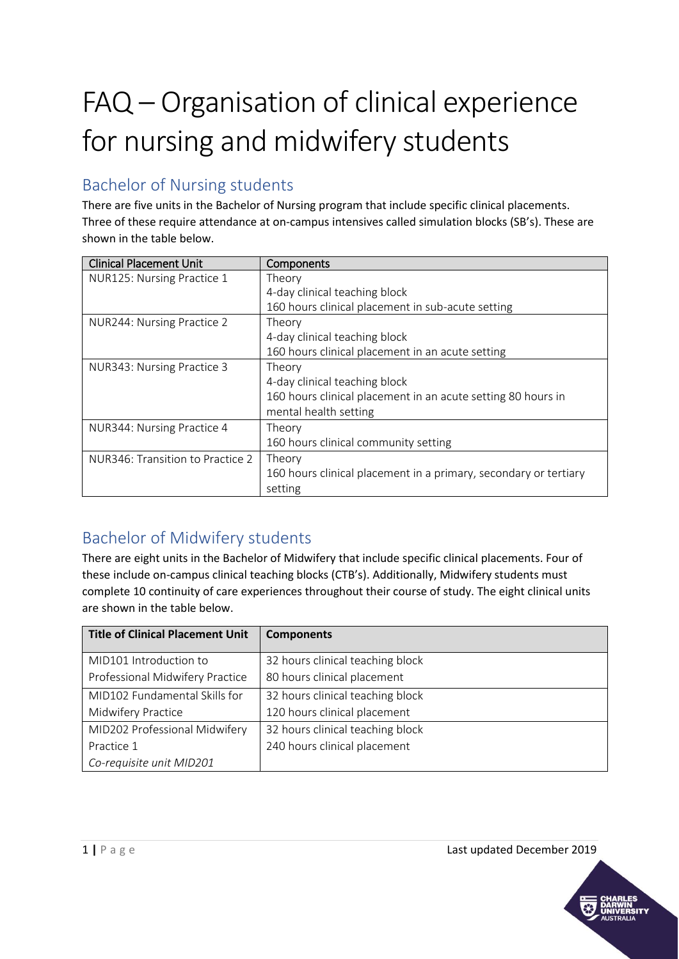## FAQ – Organisation of clinical experience for nursing and midwifery students

## Bachelor of Nursing students

There are five units in the Bachelor of Nursing program that include specific clinical placements. Three of these require attendance at on-campus intensives called simulation blocks (SB's). These are shown in the table below.

| <b>Clinical Placement Unit</b>   | Components                                                       |
|----------------------------------|------------------------------------------------------------------|
| NUR125: Nursing Practice 1       | Theory                                                           |
|                                  | 4-day clinical teaching block                                    |
|                                  | 160 hours clinical placement in sub-acute setting                |
| NUR244: Nursing Practice 2       | Theory                                                           |
|                                  | 4-day clinical teaching block                                    |
|                                  | 160 hours clinical placement in an acute setting                 |
| NUR343: Nursing Practice 3       | Theory                                                           |
|                                  | 4-day clinical teaching block                                    |
|                                  | 160 hours clinical placement in an acute setting 80 hours in     |
|                                  | mental health setting                                            |
| NUR344: Nursing Practice 4       | Theory                                                           |
|                                  | 160 hours clinical community setting                             |
| NUR346: Transition to Practice 2 | Theory                                                           |
|                                  | 160 hours clinical placement in a primary, secondary or tertiary |
|                                  | setting                                                          |

## Bachelor of Midwifery students

There are eight units in the Bachelor of Midwifery that include specific clinical placements. Four of these include on-campus clinical teaching blocks (CTB's). Additionally, Midwifery students must complete 10 continuity of care experiences throughout their course of study. The eight clinical units are shown in the table below.

| <b>Title of Clinical Placement Unit</b> | <b>Components</b>                |
|-----------------------------------------|----------------------------------|
| MID101 Introduction to                  | 32 hours clinical teaching block |
| Professional Midwifery Practice         | 80 hours clinical placement      |
| MID102 Fundamental Skills for           | 32 hours clinical teaching block |
| Midwifery Practice                      | 120 hours clinical placement     |
| MID202 Professional Midwifery           | 32 hours clinical teaching block |
| Practice 1                              | 240 hours clinical placement     |
| Co-requisite unit MID201                |                                  |